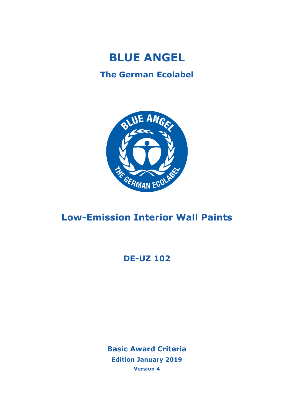

## **The German Ecolabel**



# **Low-Emission Interior Wall Paints**

## **DE-UZ 102**

**Basic Award Criteria Edition January 2019 Version 4**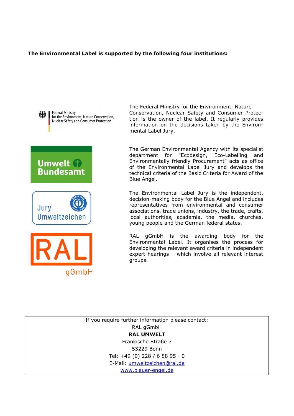#### **The Environmental Label is supported by the following four institutions:**



**Federal Ministry** for the Environment, Nature Conservation, **Nuclear Safety and Consumer Protection** 







The Federal Ministry for the Environment, Nature Conservation, Nuclear Safety and Consumer Protection is the owner of the label. It regularly provides information on the decisions taken by the Environmental Label Jury.

The German Environmental Agency with its specialist department for "Ecodesign, Eco-Labelling and Environmentally friendly Procurement" acts as office of the Environmental Label Jury and develops the technical criteria of the Basic Criteria for Award of the Blue Angel.

The Environmental Label Jury is the independent, decision-making body for the Blue Angel and includes representatives from environmental and consumer associations, trade unions, industry, the trade, crafts, local authorities, academia, the media, churches, young people and the German federal states.

RAL gGmbH is the awarding body for the Environmental Label. It organises the process for developing the relevant award criteria in independent expert hearings – which involve all relevant interest groups.

If you require further information please contact: RAL gGmbH **RAL UMWELT** Fränkische Straße 7 53229 Bonn Tel: +49 (0) 228 / 6 88 95 - 0 E-Mail: [umweltzeichen@ral.de](mailto:umweltzeichen@ral.de) [www.blauer-engel.de](http://www.blauer-engel.de/)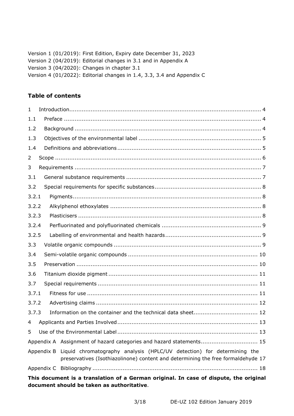| Version 1 (01/2019): First Edition, Expiry date December 31, 2023      |
|------------------------------------------------------------------------|
| Version 2 (04/2019): Editorial changes in 3.1 and in Appendix A        |
| Version 3 (04/2020): Changes in chapter 3.1                            |
| Version 4 (01/2022): Editorial changes in 1.4, 3.3, 3.4 and Appendix C |

## **Table of contents**

| 1              |  |  |                                                                                                                                                                       |  |  |  |
|----------------|--|--|-----------------------------------------------------------------------------------------------------------------------------------------------------------------------|--|--|--|
| 1.1            |  |  |                                                                                                                                                                       |  |  |  |
| 1.2            |  |  |                                                                                                                                                                       |  |  |  |
| 1.3            |  |  |                                                                                                                                                                       |  |  |  |
| 1.4            |  |  |                                                                                                                                                                       |  |  |  |
| $\overline{2}$ |  |  |                                                                                                                                                                       |  |  |  |
| 3              |  |  |                                                                                                                                                                       |  |  |  |
| 3.1            |  |  |                                                                                                                                                                       |  |  |  |
| 3.2            |  |  |                                                                                                                                                                       |  |  |  |
| 3.2.1          |  |  |                                                                                                                                                                       |  |  |  |
| 3.2.2          |  |  |                                                                                                                                                                       |  |  |  |
| 3.2.3          |  |  |                                                                                                                                                                       |  |  |  |
| 3.2.4          |  |  |                                                                                                                                                                       |  |  |  |
| 3.2.5          |  |  |                                                                                                                                                                       |  |  |  |
| 3.3            |  |  |                                                                                                                                                                       |  |  |  |
| 3.4            |  |  |                                                                                                                                                                       |  |  |  |
| 3.5            |  |  |                                                                                                                                                                       |  |  |  |
| 3.6            |  |  |                                                                                                                                                                       |  |  |  |
| 3.7            |  |  |                                                                                                                                                                       |  |  |  |
| 3.7.1          |  |  |                                                                                                                                                                       |  |  |  |
| 3.7.2          |  |  |                                                                                                                                                                       |  |  |  |
| 3.7.3          |  |  |                                                                                                                                                                       |  |  |  |
| 4              |  |  |                                                                                                                                                                       |  |  |  |
| 5              |  |  |                                                                                                                                                                       |  |  |  |
|                |  |  | Appendix A Assignment of hazard categories and hazard statements 15                                                                                                   |  |  |  |
|                |  |  | Appendix B Liquid chromatography analysis (HPLC/UV detection) for determining the<br>preservatives (Isothiazolinone) content and determining the free formaldehyde 17 |  |  |  |
|                |  |  |                                                                                                                                                                       |  |  |  |
|                |  |  | This document is a translation of a German original. In case of dispute, the original                                                                                 |  |  |  |

**document should be taken as authoritative**.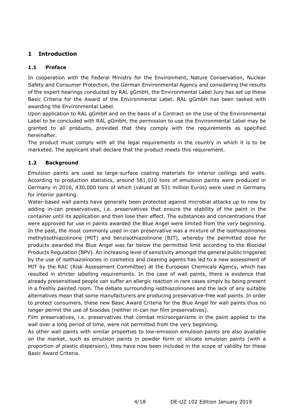## <span id="page-3-0"></span>**1 Introduction**

## <span id="page-3-1"></span>**1.1 Preface**

In cooperation with the Federal Ministry for the Environment, Nature Conservation, Nuclear Safety and Consumer Protection, the German Environmental Agency and considering the results of the expert hearings conducted by RAL gGmbH, the Environmental Label Jury has set up these Basic Criteria for the Award of the Environmental Label. RAL gGmbH has been tasked with awarding the Environmental Label.

Upon application to RAL gGmbH and on the basis of a Contract on the Use of the Environmental Label to be concluded with RAL gGmbH, the permission to use the Environmental Label may be granted to all products, provided that they comply with the requirements as specified hereinafter.

The product must comply with all the legal requirements in the country in which it is to be marketed. The applicant shall declare that the product meets this requirement.

## <span id="page-3-2"></span>**1.2 Background**

Emulsion paints are used as large-surface coating materials for interior ceilings and walls. According to production statistics, around 581,010 tons of emulsion paints were produced in Germany in 2016, 430,000 tons of which (valued at 531 million Euros) were used in Germany for interior painting.

Water-based wall paints have generally been protected against microbial attacks up to now by adding in-can preservatives, i.e. preservatives that ensure the stability of the paint in the container until its application and then lose their effect. The substances and concentrations that were approved for use in paints awarded the Blue Angel were limited from the very beginning. In the past, the most commonly used in-can preservative was a mixture of the isothiazolinones methylisothiazolinone (MIT) and benzisothiazolinone (BIT), whereby the permitted dose for products awarded the Blue Angel was far below the permitted limit according to the Biocidal Products Regulation (BPV). An increasing level of sensitivity amongst the general public triggered by the use of isothiazolinones in cosmetics and cleaning agents has led to a new assessment of MIT by the RAC (Risk Assessment Committee) at the European Chemicals Agency, which has resulted in stricter labelling requirements. In the case of wall paints, there is evidence that already presensitised people can suffer an allergic reaction in rare cases simply by being present in a freshly painted room. The debate surrounding isothiazolinones and the lack of any suitable alternatives mean that some manufacturers are producing preservative-free wall paints. In order to protect consumers, these new Basic Award Criteria for the Blue Angel for wall paints thus no longer permit the use of biocides (neither in-can nor film preservatives).

Film preservatives, i.e. preservatives that combat microorganisms in the paint applied to the wall over a long period of time, were not permitted from the very beginning.

As other wall paints with similar properties to low-emission emulsion paints are also available on the market, such as emulsion paints in powder form or silicate emulsion paints (with a proportion of plastic dispersion), they have now been included in the scope of validity for these Basic Award Criteria.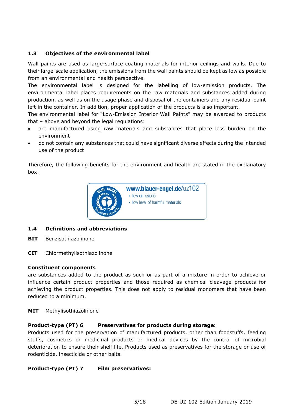#### <span id="page-4-0"></span>**1.3 Objectives of the environmental label**

Wall paints are used as large-surface coating materials for interior ceilings and walls. Due to their large-scale application, the emissions from the wall paints should be kept as low as possible from an environmental and health perspective.

The environmental label is designed for the labelling of low-emission products. The environmental label places requirements on the raw materials and substances added during production, as well as on the usage phase and disposal of the containers and any residual paint left in the container. In addition, proper application of the products is also important.

The environmental label for "Low-Emission Interior Wall Paints" may be awarded to products that – above and beyond the legal regulations:

- are manufactured using raw materials and substances that place less burden on the environment
- do not contain any substances that could have significant diverse effects during the intended use of the product

Therefore, the following benefits for the environment and health are stated in the explanatory box:



#### <span id="page-4-1"></span>**1.4 Definitions and abbreviations**

- **BIT** Benzisothiazolinone
- **CIT** Chlormethylisothiazolinone

#### **Constituent components**

are substances added to the product as such or as part of a mixture in order to achieve or influence certain product properties and those required as chemical cleavage products for achieving the product properties. This does not apply to residual monomers that have been reduced to a minimum.

**MIT** Methylisothiazolinone

#### **Product-type (PT) 6 Preservatives for products during storage:**

Products used for the preservation of manufactured products, other than foodstuffs, feeding stuffs, cosmetics or medicinal products or medical devices by the control of microbial deterioration to ensure their shelf life. Products used as preservatives for the storage or use of rodenticide, insecticide or other baits.

#### **Product-type (PT) 7 Film preservatives:**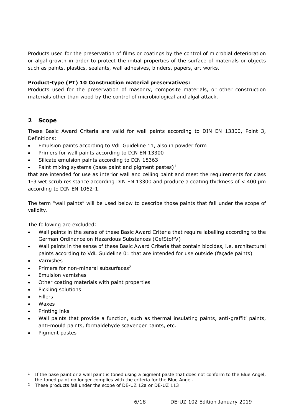Products used for the preservation of films or coatings by the control of microbial deterioration or algal growth in order to protect the initial properties of the surface of materials or objects such as paints, plastics, sealants, wall adhesives, binders, papers, art works.

#### **Product-type (PT) 10 Construction material preservatives:**

Products used for the preservation of masonry, composite materials, or other construction materials other than wood by the control of microbiological and algal attack.

#### <span id="page-5-0"></span>**2 Scope**

These Basic Award Criteria are valid for wall paints according to DIN EN 13300, Point 3, Definitions:

- Emulsion paints according to VdL Guideline 11, also in powder form
- Primers for wall paints according to DIN EN 13300
- Silicate emulsion paints according to DIN 18363
- Paint mixing systems (base paint and pigment pastes) $<sup>1</sup>$  $<sup>1</sup>$  $<sup>1</sup>$ </sup>

that are intended for use as interior wall and ceiling paint and meet the requirements for class 1-3 wet scrub resistance according DIN EN 13300 and produce a coating thickness of < 400 μm according to DIN EN 1062-1.

The term "wall paints" will be used below to describe those paints that fall under the scope of validity.

The following are excluded:

- Wall paints in the sense of these Basic Award Criteria that require labelling according to the German Ordinance on Hazardous Substances (GefStoffV)
- Wall paints in the sense of these Basic Award Criteria that contain biocides, i.e. architectural paints according to VdL Guideline 01 that are intended for use outside (façade paints)
- Varnishes
- Primers for non-mineral subsurfaces<sup>[2](#page-5-2)</sup>
- Emulsion varnishes
- Other coating materials with paint properties
- Pickling solutions
- **Fillers**
- Waxes

- Printing inks
- Wall paints that provide a function, such as thermal insulating paints, anti-graffiti paints, anti-mould paints, formaldehyde scavenger paints, etc.
- Pigment pastes

<span id="page-5-1"></span> $1$  If the base paint or a wall paint is toned using a pigment paste that does not conform to the Blue Angel, the toned paint no longer complies with the criteria for the Blue Angel.

<span id="page-5-2"></span><sup>&</sup>lt;sup>2</sup> These products fall under the scope of DE-UZ 12a or DE-UZ 113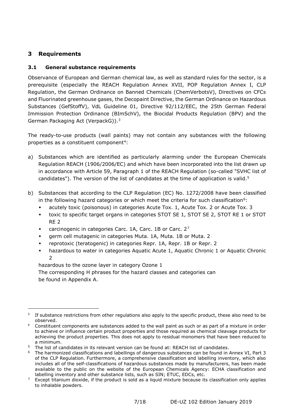## <span id="page-6-0"></span>**3 Requirements**

-

## <span id="page-6-1"></span>**3.1 General substance requirements**

Observance of European and German chemical law, as well as standard rules for the sector, is a prerequisite (especially the REACH Regulation Annex XVII, POP Regulation Annex I, CLP Regulation, the German Ordinance on Banned Chemicals (ChemVerbotsV), Directives on CFCs and Fluorinated greenhouse gases, the Decopaint Directive, the German Ordinance on Hazardous Substances (GefStoffV), VdL Guideline 01, Directive 92/112/EEC, the 25th German Federal Immission Protection Ordinance (BImSchV), the Biocidal Products Regulation (BPV) and the German Packaging Act (VerpackG)).[3](#page-6-2)

The ready-to-use products (wall paints) may not contain any substances with the following properties as a constituent component<sup>[4](#page-6-3)</sup>:

- a) Substances which are identified as particularly alarming under the European Chemicals Regulation REACH (1906/2006/EC) and which have been incorporated into the list drawn up in accordance with Article 59, Paragraph 1 of the REACH Regulation (so-called "SVHC list of candidates"). The version of the list of candidates at the time of application is valid.<sup>[5](#page-6-4)</sup>
- b) Substances that according to the CLP Regulation (EC) No. 1272/2008 have been classified in the following hazard categories or which meet the criteria for such classification<sup>[6](#page-6-5)</sup>:
	- acutely toxic (poisonous) in categories Acute Tox. 1, Acute Tox. 2 or Acute Tox. 3
	- toxic to specific target organs in categories STOT SE 1, STOT SE 2, STOT RE 1 or STOT RE 2
	- carcinogenic in categories Carc. 1A, Carc. 1B or Carc. 2[7](#page-6-6)
	- germ cell mutagenic in categories Muta. 1A, Muta. 1B or Muta. 2
	- reprotoxic (teratogenic) in categories Repr. 1A, Repr. 1B or Repr. 2
	- hazardous to water in categories Aquatic Acute 1, Aquatic Chronic 1 or Aquatic Chronic  $\overline{2}$

hazardous to the ozone layer in category Ozone 1

The corresponding H phrases for the hazard classes and categories can be found in Appendix A.

<span id="page-6-2"></span><sup>&</sup>lt;sup>3</sup> If substance restrictions from other regulations also apply to the specific product, these also need to be observed.

<span id="page-6-3"></span><sup>4</sup> Constituent components are substances added to the wall paint as such or as part of a mixture in order to achieve or influence certain product properties and those required as chemical cleavage products for achieving the product properties. This does not apply to residual monomers that have been reduced to a minimum.

<span id="page-6-4"></span><sup>&</sup>lt;sup>5</sup> The list of candidates in its relevant version can be found at: [REACH list of candidates.](http://echa.europa.eu/de/addressing-chemicals-of-concern/authorisation/substances-of-very-high-concern-identification/candidate-list-of-substances-of-very-high-concern-for-authorisation)

<span id="page-6-5"></span><sup>6</sup> The harmonized classifications and labellings of dangerous substances can be found in Annex VI, Part 3 of the CLP Regulation. Furthermore, a comprehensive classification and labelling inventory, which also includes all of the self-classifications of hazardous substances made by manufacturers, has been made available to the public on the website of the European Chemicals Agency: [ECHA classification and](http://echa.europa.eu/de/information-on-chemicals/cl-inventory;jsessionid=DA27CFECE7646B23BCB6C99891C18F7F.live2)  [labelling inventory](http://echa.europa.eu/de/information-on-chemicals/cl-inventory;jsessionid=DA27CFECE7646B23BCB6C99891C18F7F.live2) and other substance lists, such as SIN; ETUC, EDCs, etc.

<span id="page-6-6"></span> $7$  Except titanium dioxide, if the product is sold as a liquid mixture because its classification only applies to inhalable powders.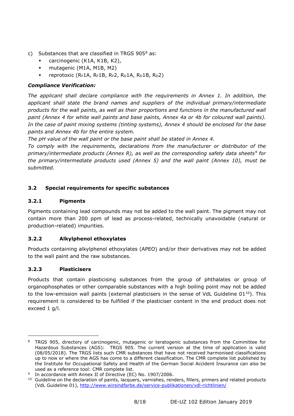- c) Substances that are classified in TRGS  $905<sup>8</sup>$  $905<sup>8</sup>$  $905<sup>8</sup>$  as:
	- carcinogenic (K1A, K1B, K2),
	- mutagenic (M1A, M1B, M2)
	- reprotoxic (RF1A, RF1B, RF2, RD1A, RD1B, RD2)

## *Compliance Verification:*

*The applicant shall declare compliance with the requirements in Annex 1. In addition, the applicant shall state the brand names and suppliers of the individual primary/intermediate products for the wall paints, as well as their proportions and functions in the manufactured wall paint (Annex 4 for white wall paints and base paints, Annex 4a or 4b for coloured wall paints). In the case of paint mixing systems (tinting systems), Annex 4 should be enclosed for the base paints and Annex 4b for the entire system.*

<span id="page-7-7"></span>*The pH value of the wall paint or the base paint shall be stated in Annex 4.*

*To comply with the requirements, declarations from the manufacturer or distributor of the primary/intermediate products (Annex R), as well as the corresponding safety data sheets[9](#page-7-5) for the primary/intermediate products used (Annex 5) and the wall paint (Annex 10), must be submitted.*

## <span id="page-7-0"></span>**3.2 Special requirements for specific substances**

## <span id="page-7-1"></span>**3.2.1 Pigments**

Pigments containing lead compounds may not be added to the wall paint. The pigment may not contain more than 200 ppm of lead as process-related, technically unavoidable (natural or production-related) impurities.

## <span id="page-7-2"></span>**3.2.2 Alkylphenol ethoxylates**

Products containing alkylphenol ethoxylates (APEO) and/or their derivatives may not be added to the wall paint and the raw substances.

## <span id="page-7-3"></span>**3.2.3 Plasticisers**

-

<span id="page-7-8"></span>Products that contain plasticising substances from the group of phthalates or group of organophosphates or other comparable substances with a high boiling point may not be added to the low-emission wall paints (external plasticisers in the sense of VdL Guideline  $01^{10}$ ). This requirement is considered to be fulfilled if the plasticiser content in the end product does not exceed 1 g/l.

<span id="page-7-4"></span><sup>&</sup>lt;sup>8</sup> TRGS 905, directory of carcinogenic, mutagenic or teratogenic substances from the Committee for Hazardous Substances (AGS): [TRGS 905.](http://www.baua.de/de/Themen-von-A-Z/Gefahrstoffe/TRGS/TRGS-905.html) The current version at the time of application is valid (08/05/2018). The TRGS lists such CMR substances that have not received harmonised classifications up to now or where the AGS has come to a different classification. The CMR complete list published by the Institute for Occupational Safety and Health of the German Social Accident Insurance can also be used as a reference tool: [CMR complete list.](http://www.baua.de/de/Themen-von-A-Z/Gefahrstoffe/Einstufung-und-Kennzeichnung/CMR-Gesamtliste_content.html)

<span id="page-7-5"></span>In accordance with Annex II of Directive (EC) No. 1907/2006.

<span id="page-7-6"></span><sup>&</sup>lt;sup>10</sup> Guideline on the declaration of paints, lacquers, varnishes, renders, fillers, primers and related products (VdL Guideline 01),<http://www.wirsindfarbe.de/service-publikationen/vdl-richtlinien/>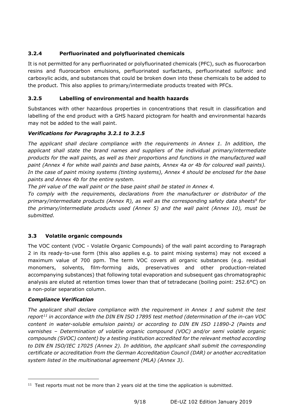## <span id="page-8-0"></span>**3.2.4 Perfluorinated and polyfluorinated chemicals**

It is not permitted for any perfluorinated or polyfluorinated chemicals (PFC), such as fluorocarbon resins and fluorocarbon emulsions, perfluorinated surfactants, perfluorinated sulfonic and carboxylic acids, and substances that could be broken down into these chemicals to be added to the product. This also applies to primary/intermediate products treated with PFCs.

## <span id="page-8-1"></span>**3.2.5 Labelling of environmental and health hazards**

Substances with other hazardous properties in concentrations that result in classification and labelling of the end product with a GHS hazard pictogram for health and environmental hazards may not be added to the wall paint.

## *Verifications for Paragraphs 3.2.1 to 3.2.5*

*The applicant shall declare compliance with the requirements in Annex 1. In addition, the applicant shall state the brand names and suppliers of the individual primary/intermediate products for the wall paints, as well as their proportions and functions in the manufactured wall paint (Annex 4 for white wall paints and base paints, Annex 4a or 4b for coloured wall paints). In the case of paint mixing systems (tinting systems), Annex 4 should be enclosed for the base paints and Annex 4b for the entire system.*

*The pH value of the wall paint or the base paint shall be stated in Annex 4.*

*To comply with the requirements, declarations from the manufacturer or distributor of the primary/intermediate products (Annex R), as well as the corresponding safety data sheet[s9](#page-7-7) for the primary/intermediate products used (Annex 5) and the wall paint (Annex 10), must be submitted.*

## <span id="page-8-2"></span>**3.3 Volatile organic compounds**

The VOC content (VOC - Volatile Organic Compounds) of the wall paint according to Paragraph 2 in its ready-to-use form (this also applies e.g. to paint mixing systems) may not exceed a maximum value of 700 ppm. The term VOC covers all organic substances (e.g. residual monomers, solvents, film-forming aids, preservatives and other production-related accompanying substances) that following total evaporation and subsequent gas chromatographic analysis are eluted at retention times lower than that of tetradecane (boiling point: 252.6°C) on a non-polar separation column.

## *Compliance Verification*

-

*The applicant shall declare compliance with the requirement in Annex 1 and submit the test report[11](#page-8-3) in accordance with the DIN EN ISO 17895 test method (determination of the in-can VOC content in water-soluble emulsion paints) or according to DIN EN ISO 11890-2 (Paints and varnishes – Determination of volatile organic compound (VOC) and/or semi volatile organic compounds (SVOC) content) by a testing institution accredited for the relevant method according to DIN EN ISO/IEC 17025 (Annex 2). In addition, the applicant shall submit the corresponding certificate or accreditation from the German Accreditation Council (DAR) or another accreditation system listed in the multinational agreement (MLA) (Annex 3).*

<span id="page-8-3"></span> $11$  Test reports must not be more than 2 years old at the time the application is submitted.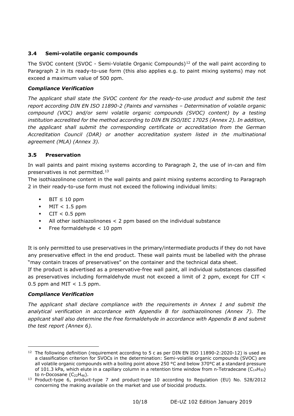#### <span id="page-9-0"></span>**3.4 Semi-volatile organic compounds**

The SVOC content (SVOC - Semi-Volatile Organic Compounds)<sup>[12](#page-9-2)</sup> of the wall paint according to Paragraph 2 in its ready-to-use form (this also applies e.g. to paint mixing systems) may not exceed a maximum value of 500 ppm.

#### *Compliance Verification*

*The applicant shall state the SVOC content for the ready-to-use product and submit the test report according DIN EN ISO 11890-2 (Paints and varnishes – Determination of volatile organic compound (VOC) and/or semi volatile organic compounds (SVOC) content) by a testing institution accredited for the method according to DIN EN ISO/IEC 17025 (Annex 2). In addition, the applicant shall submit the corresponding certificate or accreditation from the German Accreditation Council (DAR) or another accreditation system listed in the multinational agreement (MLA) (Annex 3).*

#### <span id="page-9-1"></span>**3.5 Preservation**

In wall paints and paint mixing systems according to Paragraph 2, the use of in-can and film preservatives is not permitted.[13](#page-9-3)

The isothiazolinone content in the wall paints and paint mixing systems according to Paragraph 2 in their ready-to-use form must not exceed the following individual limits:

- $BIT \leq 10$  ppm
- $\bullet$  MIT < 1.5 ppm
- $\bullet$  CIT < 0.5 ppm
- All other isothiazolinones < 2 ppm based on the individual substance
- $\bullet$  Free formaldehyde  $\lt$  10 ppm

It is only permitted to use preservatives in the primary/intermediate products if they do not have any preservative effect in the end product. These wall paints must be labelled with the phrase "may contain traces of preservatives" on the container and the technical data sheet.

If the product is advertised as a preservative-free wall paint, all individual substances classified as preservatives including formaldehyde must not exceed a limit of 2 ppm, except for CIT < 0.5 ppm and MIT  $<$  1.5 ppm.

#### *Compliance Verification*

-

*The applicant shall declare compliance with the requirements in Annex 1 and submit the analytical verification in accordance with Appendix B for isothiazolinones (Annex 7). The applicant shall also determine the free formaldehyde in accordance with Appendix B and submit the test report (Annex 6).*

<span id="page-9-2"></span> $12$  The following definition (requirement according to 5 c as per DIN EN ISO 11890-2:2020-12) is used as a classification criterion for SVOCs in the determination: Semi-volatile organic compounds (SVOC) are all volatile organic compounds with a boiling point above 250 °C and below 370°C at a standard pressure of 101.3 kPa, which elute in a capillary column in a retention time window from n-Tetradecane ( $C_{14}H_{30}$ ) to n-Docosane  $(C_{22}H_{46})$ .

<span id="page-9-3"></span><sup>13</sup> Product-type 6, product-type 7 and product-type 10 according to Regulation (EU) No. 528/2012 concerning the making available on the market and use of biocidal products.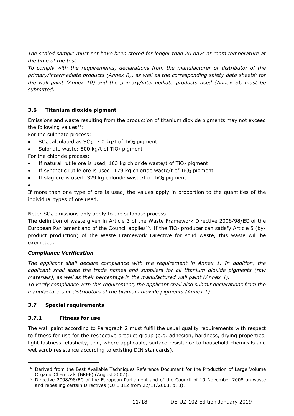*The sealed sample must not have been stored for longer than 20 days at room temperature at the time of the test.* 

*To comply with the requirements, declarations from the manufacturer or distributor of the primary/intermediate products (Annex R), as well as the corresponding safety data sheet[s9](#page-7-7) for the wall paint (Annex 10) and the primary/intermediate products used (Annex 5), must be submitted.*

## <span id="page-10-0"></span>**3.6 Titanium dioxide pigment**

Emissions and waste resulting from the production of titanium dioxide pigments may not exceed the following values $^{14}$  $^{14}$  $^{14}$ :

For the sulphate process:

- $SO_x$  calculated as  $SO_2$ : 7.0 kg/t of TiO<sub>2</sub> pigment
- Sulphate waste:  $500$  kg/t of TiO<sub>2</sub> pigment
- For the chloride process:
- If natural rutile ore is used, 103 kg chloride waste/t of  $TiO<sub>2</sub>$  pigment
- If synthetic rutile ore is used: 179 kg chloride waste/t of TiO<sub>2</sub> pigment
- If slag ore is used: 329 kg chloride waste/t of  $TiO<sub>2</sub>$  pigment
- •

-

If more than one type of ore is used, the values apply in proportion to the quantities of the individual types of ore used.

Note:  $SO<sub>x</sub>$  emissions only apply to the sulphate process.

The definition of waste given in Article 3 of the Waste Framework Directive 2008/98/EC of the European Parliament and of the Council applies<sup>15</sup>. If the TiO<sub>2</sub> producer can satisfy Article 5 (byproduct production) of the Waste Framework Directive for solid waste, this waste will be exempted.

## *Compliance Verification*

*The applicant shall declare compliance with the requirement in Annex 1. In addition, the applicant shall state the trade names and suppliers for all titanium dioxide pigments (raw materials), as well as their percentage in the manufactured wall paint (Annex 4).* 

*To verify compliance with this requirement, the applicant shall also submit declarations from the manufacturers or distributors of the titanium dioxide pigments (Annex T).*

## <span id="page-10-1"></span>**3.7 Special requirements**

## <span id="page-10-2"></span>**3.7.1 Fitness for use**

The wall paint according to Paragraph 2 must fulfil the usual quality requirements with respect to fitness for use for the respective product group (e.g. adhesion, hardness, drying properties, light fastness, elasticity, and, where applicable, surface resistance to household chemicals and wet scrub resistance according to existing DIN standards).

<span id="page-10-3"></span><sup>&</sup>lt;sup>14</sup> Derived from the Best Available Techniques Reference Document for the Production of Large Volume Organic Chemicals (BREF) (August 2007).

<span id="page-10-4"></span><sup>&</sup>lt;sup>15</sup> Directive 2008/98/EC of the European Parliament and of the Council of 19 November 2008 on waste and repealing certain Directives (OJ L 312 from 22/11/2008, p. 3).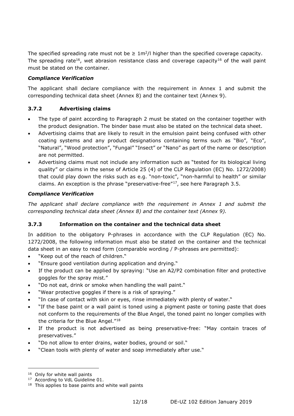<span id="page-11-2"></span>The specified spreading rate must not be  $\geq 1 \text{m}^2/l$  higher than the specified coverage capacity. The spreading rate<sup>[16](#page-11-3)</sup>, wet abrasion resistance class and coverage capacity<sup>16</sup> of the wall paint must be stated on the container.

#### *Compliance Verification*

The applicant shall declare compliance with the requirement in Annex 1 and submit the corresponding technical data sheet (Annex 8) and the container text (Annex 9).

## <span id="page-11-0"></span>**3.7.2 Advertising claims**

- The type of paint according to Paragraph 2 must be stated on the container together with the product designation. The binder base must also be stated on the technical data sheet.
- Advertising claims that are likely to result in the emulsion paint being confused with other coating systems and any product designations containing terms such as "Bio", "Eco", "Natural", "Wood protection", "Fungal" "Insect" or "Nano" as part of the name or description are not permitted.
- Advertising claims must not include any information such as "tested for its biological living quality" or claims in the sense of Article 25 (4) of the CLP Regulation (EC) No. 1272/2008) that could play down the risks such as e.g. "non-toxic", "non-harmful to health" or similar claims. An exception is the phrase "preservative-free"[17,](#page-11-4) see here Paragraph 3.5.

#### *Compliance Verification*

*The applicant shall declare compliance with the requirement in Annex 1 and submit the corresponding technical data sheet (Annex 8) and the container text (Annex 9).*

#### <span id="page-11-1"></span>**3.7.3 Information on the container and the technical data sheet**

In addition to the obligatory P-phrases in accordance with the CLP Regulation (EC) No. 1272/2008, the following information must also be stated on the container and the technical data sheet in an easy to read form (comparable wording / P-phrases are permitted):

- "Keep out of the reach of children."
- "Ensure good ventilation during application and drying."
- If the product can be applied by spraying: "Use an A2/P2 combination filter and protective goggles for the spray mist."
- "Do not eat, drink or smoke when handling the wall paint."
- "Wear protective goggles if there is a risk of spraying."
- "In case of contact with skin or eyes, rinse immediately with plenty of water."
- "If the base paint or a wall paint is toned using a pigment paste or toning paste that does not conform to the requirements of the Blue Angel, the toned paint no longer complies with the criteria for the Blue Angel."[18](#page-11-5)
- If the product is not advertised as being preservative-free: "May contain traces of preservatives."
- "Do not allow to enter drains, water bodies, ground or soil."
- "Clean tools with plenty of water and soap immediately after use."

<span id="page-11-3"></span><sup>&</sup>lt;sup>16</sup> Only for white wall paints

<span id="page-11-4"></span><sup>&</sup>lt;sup>17</sup> According to VdL Guideline 01.

<span id="page-11-5"></span><sup>&</sup>lt;sup>18</sup> This applies to base paints and white wall paints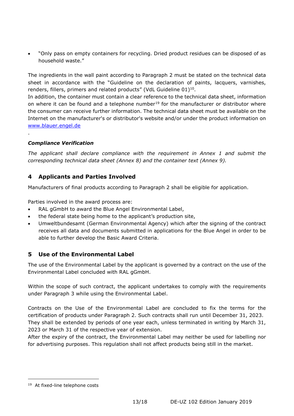• "Only pass on empty containers for recycling. Dried product residues can be disposed of as household waste."

The ingredients in the wall paint according to Paragraph 2 must be stated on the technical data sheet in accordance with the "Guideline on the declaration of paints, lacquers, varnishes, renders, fillers, primers and related products" (VdL Guideline 01)<sup>10</sup>.

In addition, the container must contain a clear reference to the technical data sheet, information on where it can be found and a telephone number<sup>[19](#page-12-2)</sup> for the manufacturer or distributor where the consumer can receive further information. The technical data sheet must be available on the Internet on the manufacturer's or distributor's website and/or under the product information on [www.blauer.engel.de](http://www.blauer.engel.de/)

## *Compliance Verification*

.

*The applicant shall declare compliance with the requirement in Annex 1 and submit the corresponding technical data sheet (Annex 8) and the container text (Annex 9).*

## <span id="page-12-0"></span>**4 Applicants and Parties Involved**

Manufacturers of final products according to Paragraph 2 shall be eligible for application.

Parties involved in the award process are:

- RAL gGmbH to award the Blue Angel Environmental Label,
- the federal state being home to the applicant's production site,
- Umweltbundesamt (German Environmental Agency) which after the signing of the contract receives all data and documents submitted in applications for the Blue Angel in order to be able to further develop the Basic Award Criteria.

## <span id="page-12-1"></span>**5 Use of the Environmental Label**

The use of the Environmental Label by the applicant is governed by a contract on the use of the Environmental Label concluded with RAL gGmbH.

Within the scope of such contract, the applicant undertakes to comply with the requirements under Paragraph 3 while using the Environmental Label.

Contracts on the Use of the Environmental Label are concluded to fix the terms for the certification of products under Paragraph 2. Such contracts shall run until December 31, 2023. They shall be extended by periods of one year each, unless terminated in writing by March 31, 2023 or March 31 of the respective year of extension.

After the expiry of the contract, the Environmental Label may neither be used for labelling nor for advertising purposes. This regulation shall not affect products being still in the market.

<span id="page-12-2"></span><sup>&</sup>lt;sup>19</sup> At fixed-line telephone costs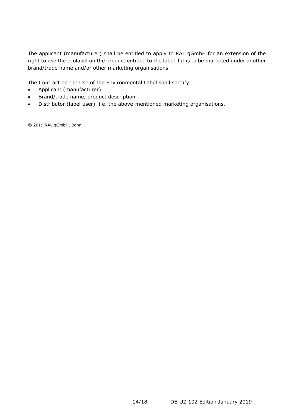The applicant (manufacturer) shall be entitled to apply to RAL gGmbH for an extension of the right to use the ecolabel on the product entitled to the label if it is to be marketed under another brand/trade name and/or other marketing organisations.

The Contract on the Use of the Environmental Label shall specify:

- Applicant (manufacturer)
- Brand/trade name, product description
- Distributor (label user), i.e. the above-mentioned marketing organisations.

© 2019 RAL gGmbH, Bonn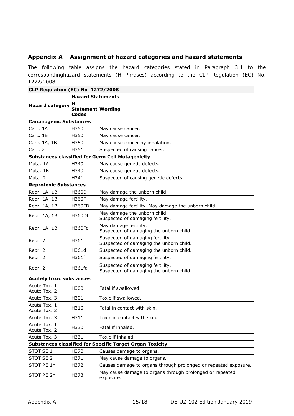## <span id="page-14-0"></span>**Appendix A Assignment of hazard categories and hazard statements**

The following table assigns the hazard categories stated in Paragraph 3.1 to the correspondinghazard statements (H Phrases) according to the CLP Regulation (EC) No. 1272/2008.

| CLP Regulation (EC) No 1272/2008                                |                                               |                                                                             |  |  |  |  |  |  |
|-----------------------------------------------------------------|-----------------------------------------------|-----------------------------------------------------------------------------|--|--|--|--|--|--|
|                                                                 | <b>Hazard Statements</b>                      |                                                                             |  |  |  |  |  |  |
| <b>Hazard category</b>                                          | н<br><b>Statement Wording</b><br><b>Codes</b> |                                                                             |  |  |  |  |  |  |
| <b>Carcinogenic Substances</b>                                  |                                               |                                                                             |  |  |  |  |  |  |
| Carc. 1A                                                        | H350                                          | May cause cancer.                                                           |  |  |  |  |  |  |
| Carc. 1B                                                        | H350                                          | May cause cancer.                                                           |  |  |  |  |  |  |
| Carc. 1A, 1B                                                    | H350i                                         | May cause cancer by inhalation.                                             |  |  |  |  |  |  |
| Carc. 2                                                         | H351                                          | Suspected of causing cancer.                                                |  |  |  |  |  |  |
| <b>Substances classified for Germ Cell Mutagenicity</b>         |                                               |                                                                             |  |  |  |  |  |  |
| Muta. 1A                                                        | H340                                          | May cause genetic defects.                                                  |  |  |  |  |  |  |
| Muta. 1B                                                        | H340                                          | May cause genetic defects.                                                  |  |  |  |  |  |  |
| Muta. 2                                                         | H341                                          | Suspected of causing genetic defects.                                       |  |  |  |  |  |  |
| <b>Reprotoxic Substances</b>                                    |                                               |                                                                             |  |  |  |  |  |  |
| Repr. 1A, 1B                                                    | <b>H360D</b>                                  | May damage the unborn child.                                                |  |  |  |  |  |  |
| Repr. 1A, 1B                                                    | <b>H360F</b>                                  | May damage fertility.                                                       |  |  |  |  |  |  |
| Repr. 1A, 1B                                                    | <b>H360FD</b>                                 | May damage fertility. May damage the unborn child.                          |  |  |  |  |  |  |
| Repr. 1A, 1B                                                    | <b>H360Df</b>                                 | May damage the unborn child.<br>Suspected of damaging fertility.            |  |  |  |  |  |  |
| Repr. 1A, 1B                                                    | H360Fd                                        | May damage fertility.<br>Suspected of damaging the unborn child.            |  |  |  |  |  |  |
| Repr. 2                                                         | H361                                          | Suspected of damaging fertility.<br>Suspected of damaging the unborn child. |  |  |  |  |  |  |
| Repr. 2                                                         | H361d                                         | Suspected of damaging the unborn child.                                     |  |  |  |  |  |  |
| Repr. 2                                                         | H361f                                         | Suspected of damaging fertility.                                            |  |  |  |  |  |  |
| Repr. 2                                                         | H361fd                                        | Suspected of damaging fertility.<br>Suspected of damaging the unborn child. |  |  |  |  |  |  |
| <b>Acutely toxic substances</b>                                 |                                               |                                                                             |  |  |  |  |  |  |
| Acute Tox. 1<br>Acute Tox. 2                                    | H300                                          | Fatal if swallowed.                                                         |  |  |  |  |  |  |
| Acute Tox. 3                                                    | H301                                          | Toxic if swallowed.                                                         |  |  |  |  |  |  |
| Acute Tox. 1<br>Acute Tox. 2                                    | H310                                          | Fatal in contact with skin.                                                 |  |  |  |  |  |  |
| Acute Tox. 3                                                    | H311                                          | Toxic in contact with skin.                                                 |  |  |  |  |  |  |
| Acute Tox. 1<br>Acute Tox. 2                                    | H330                                          | Fatal if inhaled.                                                           |  |  |  |  |  |  |
| Acute Tox. 3                                                    | H331                                          | Toxic if inhaled.                                                           |  |  |  |  |  |  |
| <b>Substances classified for Specific Target Organ Toxicity</b> |                                               |                                                                             |  |  |  |  |  |  |
| STOT SE 1                                                       | H370                                          | Causes damage to organs.                                                    |  |  |  |  |  |  |
| STOT SE 2                                                       | H371                                          | May cause damage to organs.                                                 |  |  |  |  |  |  |
| STOT RE 1*                                                      | H372                                          | Causes damage to organs through prolonged or repeated exposure.             |  |  |  |  |  |  |
| STOT RE 2*                                                      | H373                                          | May cause damage to organs through prolonged or repeated<br>exposure.       |  |  |  |  |  |  |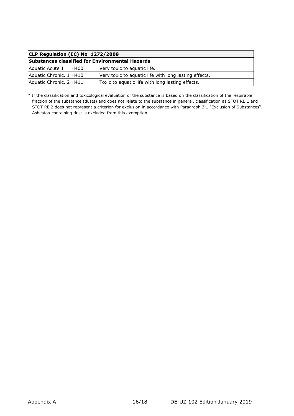| CLP Regulation (EC) No 1272/2008                       |             |                                                       |  |  |  |  |  |  |
|--------------------------------------------------------|-------------|-------------------------------------------------------|--|--|--|--|--|--|
| <b>Substances classified for Environmental Hazards</b> |             |                                                       |  |  |  |  |  |  |
| Aquatic Acute 1                                        | <b>H400</b> | Very toxic to aquatic life.                           |  |  |  |  |  |  |
| Aquatic Chronic. 1 H410                                |             | Very toxic to aquatic life with long lasting effects. |  |  |  |  |  |  |
| Aquatic Chronic. 2 H411                                |             | Toxic to aquatic life with long lasting effects.      |  |  |  |  |  |  |

\* If the classification and toxicological evaluation of the substance is based on the classification of the respirable fraction of the substance (dusts) and does not relate to the substance in general, classification as STOT RE 1 and STOT RE 2 does not represent a criterion for exclusion in accordance with Paragraph 3.1 "Exclusion of Substances". Asbestos-containing dust is excluded from this exemption.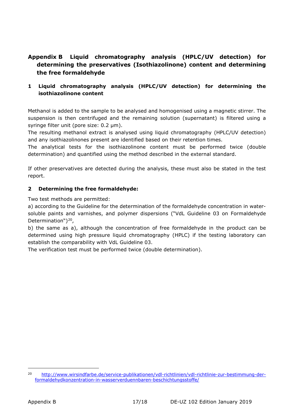## <span id="page-16-0"></span>**Appendix B Liquid chromatography analysis (HPLC/UV detection) for determining the preservatives (Isothiazolinone) content and determining the free formaldehyde**

## **1 Liquid chromatography analysis (HPLC/UV detection) for determining the isothiazolinone content**

Methanol is added to the sample to be analysed and homogenised using a magnetic stirrer. The suspension is then centrifuged and the remaining solution (supernatant) is filtered using a syringe filter unit (pore size: 0.2 μm).

The resulting methanol extract is analysed using liquid chromatography (HPLC/UV detection) and any isothiazolinones present are identified based on their retention times.

The analytical tests for the isothiazolinone content must be performed twice (double determination) and quantified using the method described in the external standard.

If other preservatives are detected during the analysis, these must also be stated in the test report.

#### **2 Determining the free formaldehyde:**

Two test methods are permitted:

a) according to the Guideline for the determination of the formaldehyde concentration in watersoluble paints and varnishes, and polymer dispersions ("VdL Guideline 03 on Formaldehyde Determination")<sup>[20](#page-16-1)</sup>,

b) the same as a), although the concentration of free formaldehyde in the product can be determined using high pressure liquid chromatography (HPLC) if the testing laboratory can establish the comparability with VdL Guideline 03.

The verification test must be performed twice (double determination).

<span id="page-16-1"></span><sup>20</sup> [http://www.wirsindfarbe.de/service-publikationen/vdl-richtlinien/vdl-richtlinie-zur-bestimmung-der](http://www.wirsindfarbe.de/service-publikationen/vdl-richtlinien/vdl-richtlinie-zur-bestimmung-der-formaldehydkonzentration-in-wasserverduennbaren-beschichtungsstoffe/)[formaldehydkonzentration-in-wasserverduennbaren-beschichtungsstoffe/](http://www.wirsindfarbe.de/service-publikationen/vdl-richtlinien/vdl-richtlinie-zur-bestimmung-der-formaldehydkonzentration-in-wasserverduennbaren-beschichtungsstoffe/)